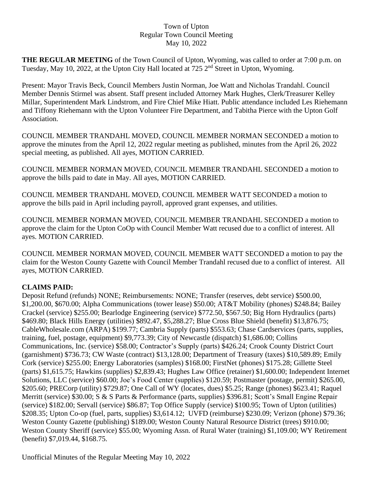## Town of Upton Regular Town Council Meeting May 10, 2022

**THE REGULAR MEETING** of the Town Council of Upton, Wyoming, was called to order at 7:00 p.m. on Tuesday, May 10, 2022, at the Upton City Hall located at 725 2<sup>nd</sup> Street in Upton, Wyoming.

Present: Mayor Travis Beck, Council Members Justin Norman, Joe Watt and Nicholas Trandahl. Council Member Dennis Stirmel was absent. Staff present included Attorney Mark Hughes, Clerk/Treasurer Kelley Millar, Superintendent Mark Lindstrom, and Fire Chief Mike Hiatt. Public attendance included Les Riehemann and Tiffony Riehemann with the Upton Volunteer Fire Department, and Tabitha Pierce with the Upton Golf Association.

COUNCIL MEMBER TRANDAHL MOVED, COUNCIL MEMBER NORMAN SECONDED a motion to approve the minutes from the April 12, 2022 regular meeting as published, minutes from the April 26, 2022 special meeting, as published. All ayes, MOTION CARRIED.

COUNCIL MEMBER NORMAN MOVED, COUNCIL MEMBER TRANDAHL SECONDED a motion to approve the bills paid to date in May. All ayes, MOTION CARRIED.

COUNCIL MEMBER TRANDAHL MOVED, COUNCIL MEMBER WATT SECONDED a motion to approve the bills paid in April including payroll, approved grant expenses, and utilities.

COUNCIL MEMBER NORMAN MOVED, COUNCIL MEMBER TRANDAHL SECONDED a motion to approve the claim for the Upton CoOp with Council Member Watt recused due to a conflict of interest. All ayes. MOTION CARRIED.

COUNCIL MEMBER NORMAN MOVED, COUNCIL MEMBER WATT SECONDED a motion to pay the claim for the Weston County Gazette with Council Member Trandahl recused due to a conflict of interest. All ayes, MOTION CARRIED.

## **CLAIMS PAID:**

Deposit Refund (refunds) NONE; Reimbursements: NONE; Transfer (reserves, debt service) \$500.00, \$1,200.00, \$670.00; Alpha Communications (tower lease) \$50.00; AT&T Mobility (phones) \$248.84; Bailey Crackel (service) \$255.00; Bearlodge Engineering (service) \$772.50, \$567.50; Big Horn Hydraulics (parts) \$469.80; Black Hills Energy (utilities) \$892.47, \$5,288.27; Blue Cross Blue Shield (benefit) \$13,876.75; CableWholesale.com (ARPA) \$199.77; Cambria Supply (parts) \$553.63; Chase Cardservices (parts, supplies, training, fuel, postage, equipment) \$9,773.39; City of Newcastle (dispatch) \$1,686.00; Collins Communications, Inc. (service) \$58.00; Contractor's Supply (parts) \$426.24; Crook County District Court (garnishment) \$736.73; CW Waste (contract) \$13,128.00; Department of Treasury (taxes) \$10,589.89; Emily Cork (service) \$255.00; Energy Laboratories (samples) \$168.00; FirstNet (phones) \$175.28; Gillette Steel (parts) \$1,615.75; Hawkins (supplies) \$2,839.43; Hughes Law Office (retainer) \$1,600.00; Independent Internet Solutions, LLC (service) \$60.00; Joe's Food Center (supplies) \$120.59; Postmaster (postage, permit) \$265.00, \$205.60; PRECorp (utility) \$729.87; One Call of WY (locates, dues) \$5.25; Range (phones) \$623.41; Raquel Merritt (service) \$30.00; S & S Parts & Performance (parts, supplies) \$396.81; Scott's Small Engine Repair (service) \$182.00; Servall (service) \$86.87; Top Office Supply (service) \$100.95; Town of Upton (utilities) \$208.35; Upton Co-op (fuel, parts, supplies) \$3,614.12; UVFD (reimburse) \$230.09; Verizon (phone) \$79.36; Weston County Gazette (publishing) \$189.00; Weston County Natural Resource District (trees) \$910.00; Weston County Sheriff (service) \$55.00; Wyoming Assn. of Rural Water (training) \$1,109.00; WY Retirement (benefit) \$7,019.44, \$168.75.

Unofficial Minutes of the Regular Meeting May 10, 2022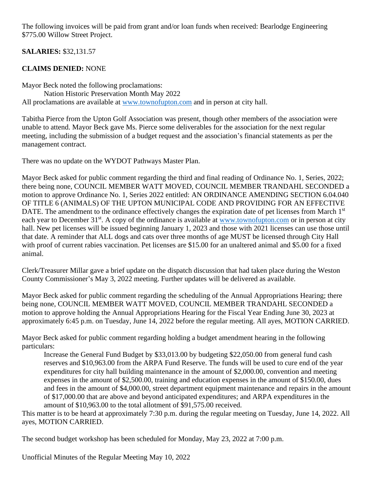The following invoices will be paid from grant and/or loan funds when received: Bearlodge Engineering \$775.00 Willow Street Project.

**SALARIES:** \$32,131.57

## **CLAIMS DENIED:** NONE

Mayor Beck noted the following proclamations: Nation Historic Preservation Month May 2022 All proclamations are available at [www.townofupton.com](http://www.townofupton.com/) and in person at city hall.

Tabitha Pierce from the Upton Golf Association was present, though other members of the association were unable to attend. Mayor Beck gave Ms. Pierce some deliverables for the association for the next regular meeting, including the submission of a budget request and the association's financial statements as per the management contract.

There was no update on the WYDOT Pathways Master Plan.

Mayor Beck asked for public comment regarding the third and final reading of Ordinance No. 1, Series, 2022; there being none, COUNCIL MEMBER WATT MOVED, COUNCIL MEMBER TRANDAHL SECONDED a motion to approve Ordinance No. 1, Series 2022 entitled: AN ORDINANCE AMENDING SECTION 6.04.040 OF TITLE 6 (ANIMALS) OF THE UPTON MUNICIPAL CODE AND PROVIDING FOR AN EFFECTIVE DATE. The amendment to the ordinance effectively changes the expiration date of pet licenses from March 1<sup>st</sup> each year to December 31<sup>st</sup>. A copy of the ordinance is available at [www.townofupton.com](http://www.townofupton.com/) or in person at city hall. New pet licenses will be issued beginning January 1, 2023 and those with 2021 licenses can use those until that date. A reminder that ALL dogs and cats over three months of age MUST be licensed through City Hall with proof of current rabies vaccination. Pet licenses are \$15.00 for an unaltered animal and \$5.00 for a fixed animal.

Clerk/Treasurer Millar gave a brief update on the dispatch discussion that had taken place during the Weston County Commissioner's May 3, 2022 meeting. Further updates will be delivered as available.

Mayor Beck asked for public comment regarding the scheduling of the Annual Appropriations Hearing; there being none, COUNCIL MEMBER WATT MOVED, COUNCIL MEMBER TRANDAHL SECONDED a motion to approve holding the Annual Appropriations Hearing for the Fiscal Year Ending June 30, 2023 at approximately 6:45 p.m. on Tuesday, June 14, 2022 before the regular meeting. All ayes, MOTION CARRIED.

Mayor Beck asked for public comment regarding holding a budget amendment hearing in the following particulars:

Increase the General Fund Budget by \$33,013.00 by budgeting \$22,050.00 from general fund cash reserves and \$10,963.00 from the ARPA Fund Reserve. The funds will be used to cure end of the year expenditures for city hall building maintenance in the amount of \$2,000.00, convention and meeting expenses in the amount of \$2,500.00, training and education expenses in the amount of \$150.00, dues and fees in the amount of \$4,000.00, street department equipment maintenance and repairs in the amount of \$17,000.00 that are above and beyond anticipated expenditures; and ARPA expenditures in the amount of \$10,963.00 to the total allotment of \$91,575.00 received.

This matter is to be heard at approximately 7:30 p.m. during the regular meeting on Tuesday, June 14, 2022. All ayes, MOTION CARRIED.

The second budget workshop has been scheduled for Monday, May 23, 2022 at 7:00 p.m.

Unofficial Minutes of the Regular Meeting May 10, 2022